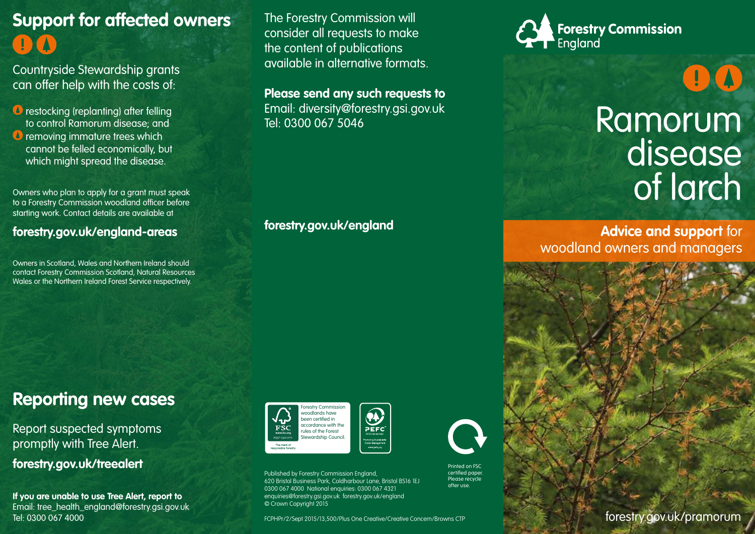# **Support for affected owners**

Countryside Stewardship grants can offer help with the costs of:

*O* restocking (replanting) after felling to control Ramorum disease; and *O* removing immature trees which cannot be felled economically, but which might spread the disease.

Owners who plan to apply for a grant must speak to a Forestry Commission woodland officer before starting work. Contact details are available at

#### **forestry.gov.uk/england-areas**

Owners in Scotland, Wales and Northern Ireland should contact Forestry Commission Scotland, Natural Resources Wales or the Northern Ireland Forest Service respectively.

The Forestry Commission will consider all requests to make the content of publications available in alternative formats.

**Please send any such requests to** Email: diversity@forestry.gsi.gov.uk Tel: 0300 067 5046

**forestry.gov.uk/england**



## Ramorum disease of larch

 $\left( \begin{array}{c} 1 \end{array} \right)$ 

**Advice and support** for woodland owners and managers



### **Reporting new cases**

Report suspected symptoms promptly with Tree Alert.

**forestry.gov.uk/treealert**

**If you are unable to use Tree Alert, report to** Email: tree\_health\_england@forestry.gsi.gov.uk Tel: 0300 067 4000





forestry.gov.uk FCPHPr/2/Sept 2015/13,500/Plus One Creative/Creative Concern/Browns CTP

Printed on FSC certified paper. Please recycle after use.